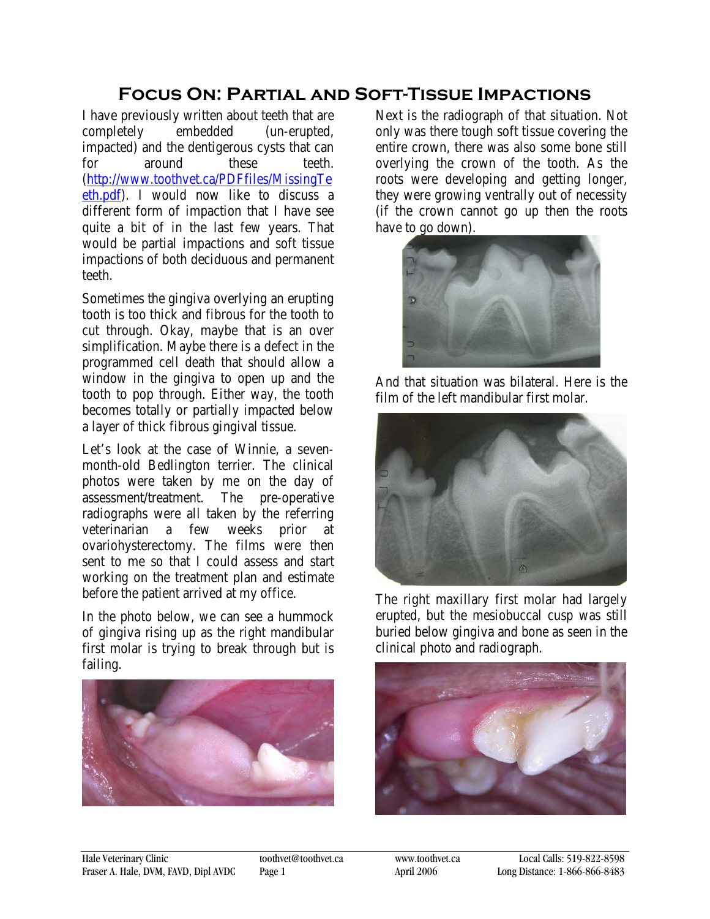## **Focus On: Partial and Soft-Tissue Impactions**

I have previously written about teeth that are completely embedded (un-erupted, impacted) and the dentigerous cysts that can for around these teeth. [\(http://www.toothvet.ca/PDFfiles/MissingTe](http://www.toothvet.ca/PDFfiles/MissingTeeth.pdf) [eth.pdf\)](http://www.toothvet.ca/PDFfiles/MissingTeeth.pdf). I would now like to discuss a different form of impaction that I have see quite a bit of in the last few years. That would be partial impactions and soft tissue impactions of both deciduous and permanent teeth.

Sometimes the gingiva overlying an erupting tooth is too thick and fibrous for the tooth to cut through. Okay, maybe that is an over simplification. Maybe there is a defect in the programmed cell death that should allow a window in the gingiva to open up and the tooth to pop through. Either way, the tooth becomes totally or partially impacted below a layer of thick fibrous gingival tissue.

Let's look at the case of Winnie, a sevenmonth-old Bedlington terrier. The clinical photos were taken by me on the day of assessment/treatment. The pre-operative radiographs were all taken by the referring veterinarian a few weeks prior at ovariohysterectomy. The films were then sent to me so that I could assess and start working on the treatment plan and estimate before the patient arrived at my office.

In the photo below, we can see a hummock of gingiva rising up as the right mandibular first molar is trying to break through but is failing.



Next is the radiograph of that situation. Not only was there tough soft tissue covering the entire crown, there was also some bone still overlying the crown of the tooth. As the roots were developing and getting longer, they were growing ventrally out of necessity (if the crown cannot go up then the roots have to go down).



And that situation was bilateral. Here is the film of the left mandibular first molar.



The right maxillary first molar had largely erupted, but the mesiobuccal cusp was still buried below gingiva and bone as seen in the clinical photo and radiograph.

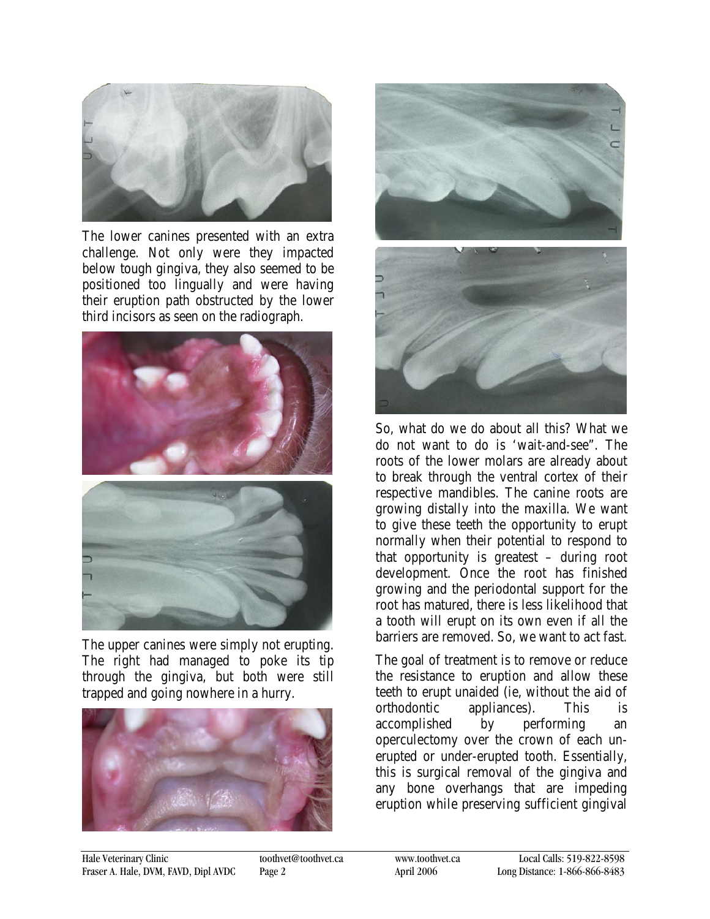

The lower canines presented with an extra challenge. Not only were they impacted below tough gingiva, they also seemed to be positioned too lingually and were having their eruption path obstructed by the lower third incisors as seen on the radiograph.



The upper canines were simply not erupting. The right had managed to poke its tip through the gingiva, but both were still trapped and going nowhere in a hurry.





So, what do we do about all this? What we do not want to do is 'wait-and-see". The roots of the lower molars are already about to break through the ventral cortex of their respective mandibles. The canine roots are growing distally into the maxilla. We want to give these teeth the opportunity to erupt normally when their potential to respond to that opportunity is greatest – during root development. Once the root has finished growing and the periodontal support for the root has matured, there is less likelihood that a tooth will erupt on its own even if all the barriers are removed. So, we want to act fast.

The goal of treatment is to remove or reduce the resistance to eruption and allow these teeth to erupt unaided (ie, without the aid of orthodontic appliances). This is accomplished by performing an operculectomy over the crown of each unerupted or under-erupted tooth. Essentially, this is surgical removal of the gingiva and any bone overhangs that are impeding eruption while preserving sufficient gingival

Hale Veterinary Clinic [toothvet@toothvet.ca](mailto:toothvet@toothvet.c) have used toothvet@toothvet.ca Local Calls: 519-822-8598<br>
Fraser A. Hale, DVM, FAVD, Dipl AVDC Page 2 April 2006 Long Distance: 1-866-866-8483 Fraser A. Hale, DVM, FAVD, Dipl AVDC Page 2 April 2006 Long Distance: 1-866-866-8483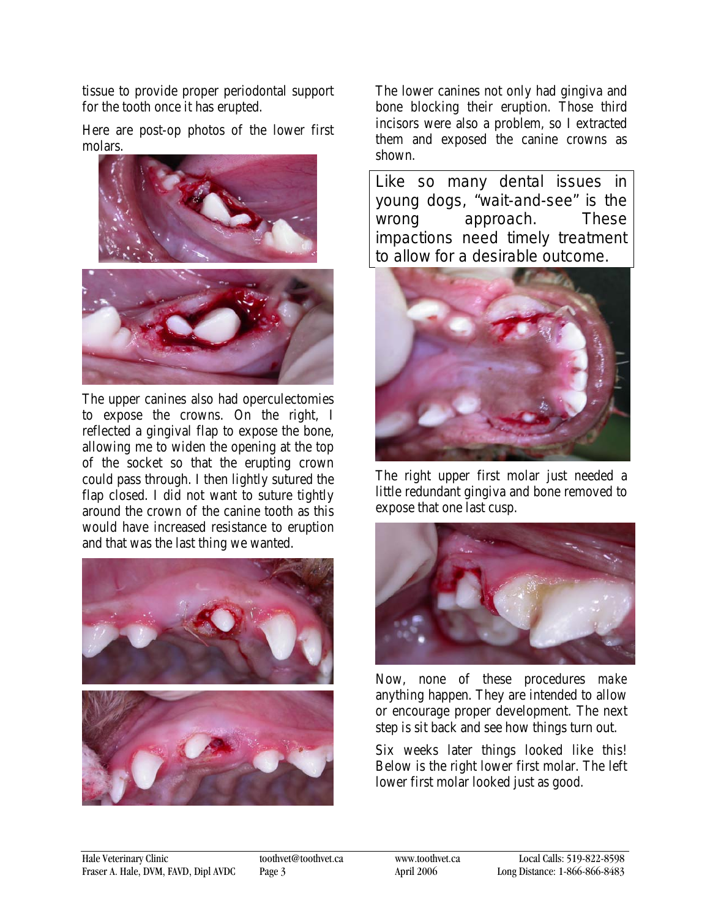tissue to provide proper periodontal support for the tooth once it has erupted.

Here are post-op photos of the lower first molars.



The upper canines also had operculectomies to expose the crowns. On the right, I reflected a gingival flap to expose the bone, allowing me to widen the opening at the top of the socket so that the erupting crown could pass through. I then lightly sutured the flap closed. I did not want to suture tightly around the crown of the canine tooth as this would have increased resistance to eruption and that was the last thing we wanted.



The lower canines not only had gingiva and bone blocking their eruption. Those third incisors were also a problem, so I extracted them and exposed the canine crowns as shown.

Like so many dental issues in young dogs, "wait-and-see" is the wrong approach. These impactions need timely treatment to allow for a desirable outcome.



The right upper first molar just needed a little redundant gingiva and bone removed to expose that one last cusp.



Now, none of these procedures *make* anything happen. They are intended to allow or encourage proper development. The next step is sit back and see how things turn out.

Six weeks later things looked like this! Below is the right lower first molar. The left lower first molar looked just as good.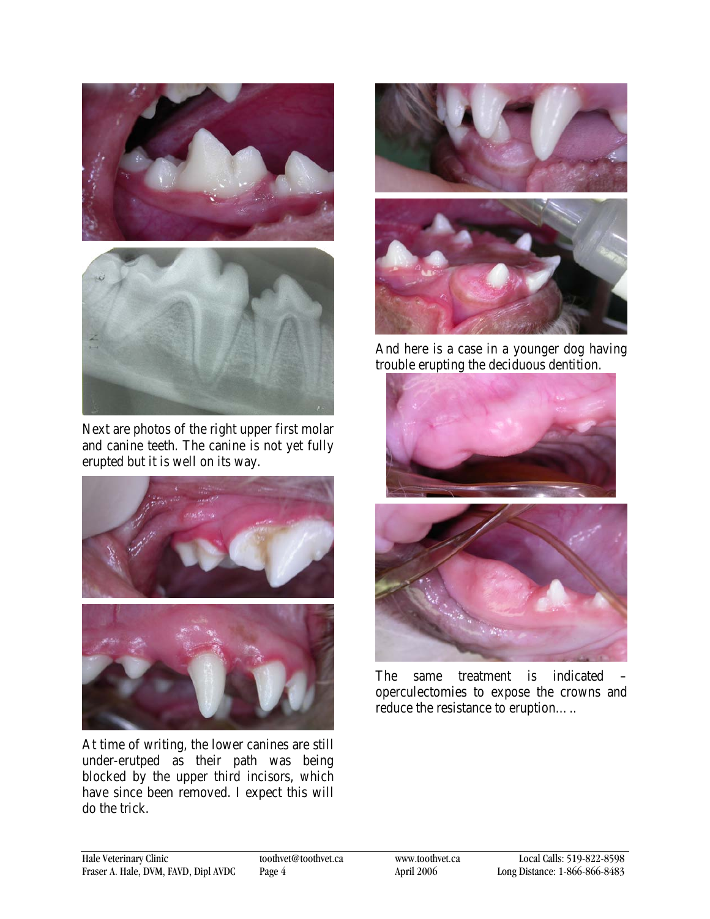



Next are photos of the right upper first molar and canine teeth. The canine is not yet fully erupted but it is well on its way.



At time of writing, the lower canines are still under-erutped as their path was being blocked by the upper third incisors, which have since been removed. I expect this will do the trick.



And here is a case in a younger dog having trouble erupting the deciduous dentition.



The same treatment is indicated operculectomies to expose the crowns and reduce the resistance to eruption…..